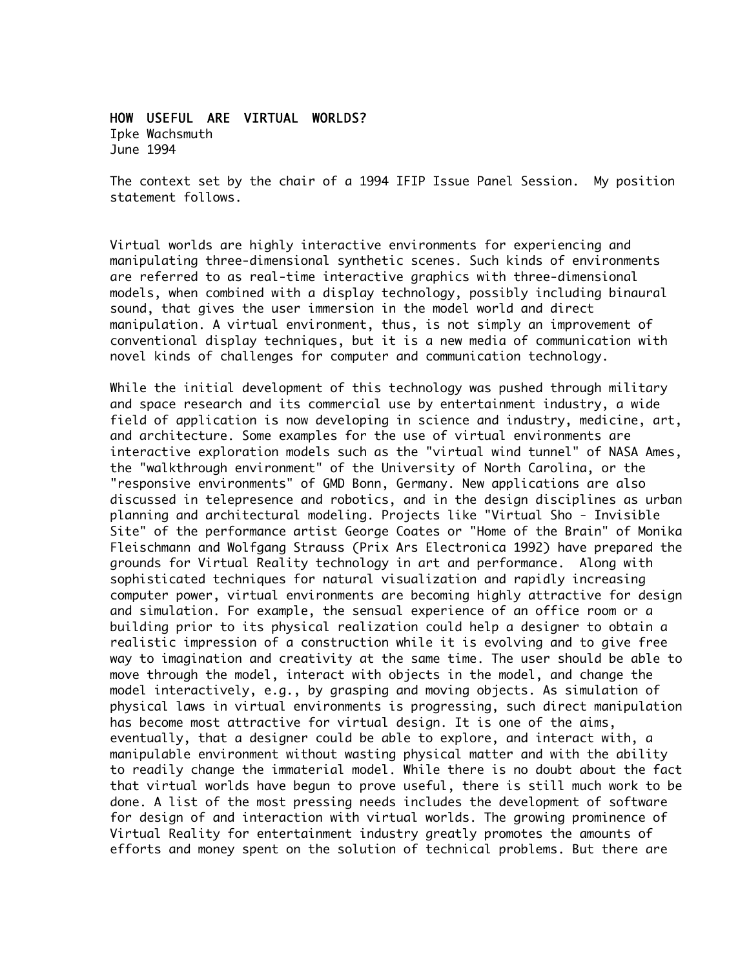## HOW USEFUL ARE VIRTUAL WORLDS?

Ipke Wachsmuth June 1994

The context set by the chair of a 1994 IFIP Issue Panel Session. My position statement follows.

Virtual worlds are highly interactive environments for experiencing and manipulating three-dimensional synthetic scenes. Such kinds of environments are referred to as real-time interactive graphics with three-dimensional models, when combined with a display technology, possibly including binaural sound, that gives the user immersion in the model world and direct manipulation. A virtual environment, thus, is not simply an improvement of conventional display techniques, but it is a new media of communication with novel kinds of challenges for computer and communication technology.

While the initial development of this technology was pushed through military and space research and its commercial use by entertainment industry, a wide field of application is now developing in science and industry, medicine, art, and architecture. Some examples for the use of virtual environments are interactive exploration models such as the "virtual wind tunnel" of NASA Ames, the "walkthrough environment" of the University of North Carolina, or the "responsive environments" of GMD Bonn, Germany. New applications are also discussed in telepresence and robotics, and in the design disciplines as urban planning and architectural modeling. Projects like "Virtual Sho - Invisible Site" of the performance artist George Coates or "Home of the Brain" of Monika Fleischmann and Wolfgang Strauss (Prix Ars Electronica 1992) have prepared the grounds for Virtual Reality technology in art and performance. Along with sophisticated techniques for natural visualization and rapidly increasing computer power, virtual environments are becoming highly attractive for design and simulation. For example, the sensual experience of an office room or a building prior to its physical realization could help a designer to obtain a realistic impression of a construction while it is evolving and to give free way to imagination and creativity at the same time. The user should be able to move through the model, interact with objects in the model, and change the model interactively, e.g., by grasping and moving objects. As simulation of physical laws in virtual environments is progressing, such direct manipulation has become most attractive for virtual design. It is one of the aims, eventually, that a designer could be able to explore, and interact with, a manipulable environment without wasting physical matter and with the ability to readily change the immaterial model. While there is no doubt about the fact that virtual worlds have begun to prove useful, there is still much work to be done. A list of the most pressing needs includes the development of software for design of and interaction with virtual worlds. The growing prominence of Virtual Reality for entertainment industry greatly promotes the amounts of efforts and money spent on the solution of technical problems. But there are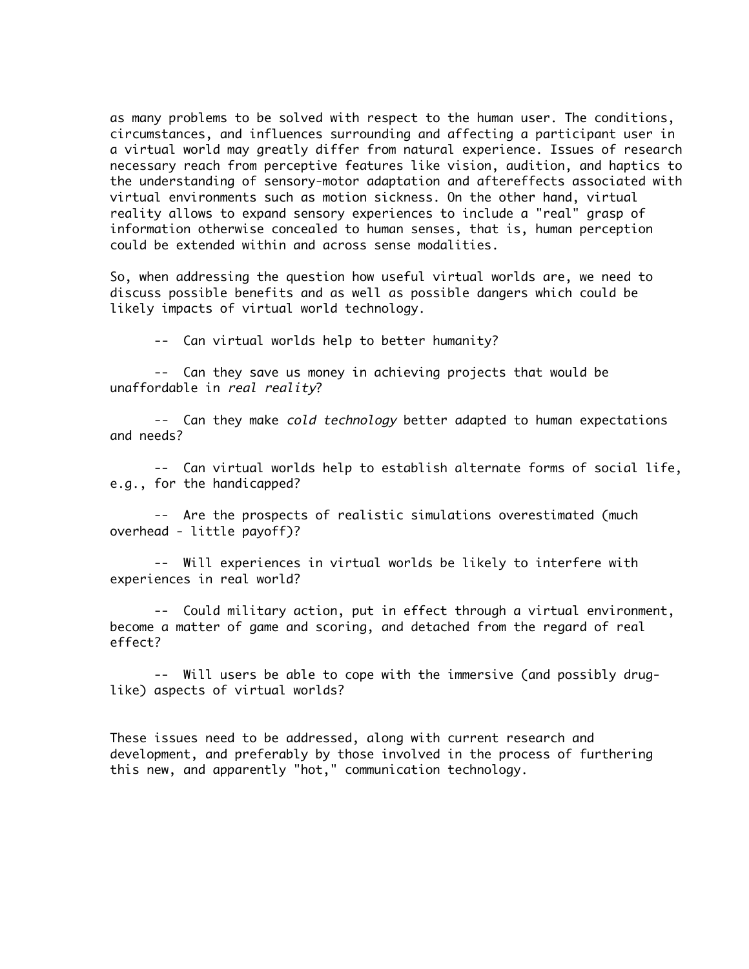as many problems to be solved with respect to the human user. The conditions, circumstances, and influences surrounding and affecting a participant user in a virtual world may greatly differ from natural experience. Issues of research necessary reach from perceptive features like vision, audition, and haptics to the understanding of sensory-motor adaptation and aftereffects associated with virtual environments such as motion sickness. On the other hand, virtual reality allows to expand sensory experiences to include a "real" grasp of information otherwise concealed to human senses, that is, human perception could be extended within and across sense modalities.

So, when addressing the question how useful virtual worlds are, we need to discuss possible benefits and as well as possible dangers which could be likely impacts of virtual world technology.

-- Can virtual worlds help to better humanity?

-- Can they save us money in achieving projects that would be unaffordable in real reality?

-- Can they make cold technology better adapted to human expectations and needs?

-- Can virtual worlds help to establish alternate forms of social life, e.g., for the handicapped?

-- Are the prospects of realistic simulations overestimated (much overhead - little payoff)?

-- Will experiences in virtual worlds be likely to interfere with experiences in real world?

-- Could military action, put in effect through a virtual environment, become a matter of game and scoring, and detached from the regard of real effect?

-- Will users be able to cope with the immersive (and possibly druglike) aspects of virtual worlds?

These issues need to be addressed, along with current research and development, and preferably by those involved in the process of furthering this new, and apparently "hot," communication technology.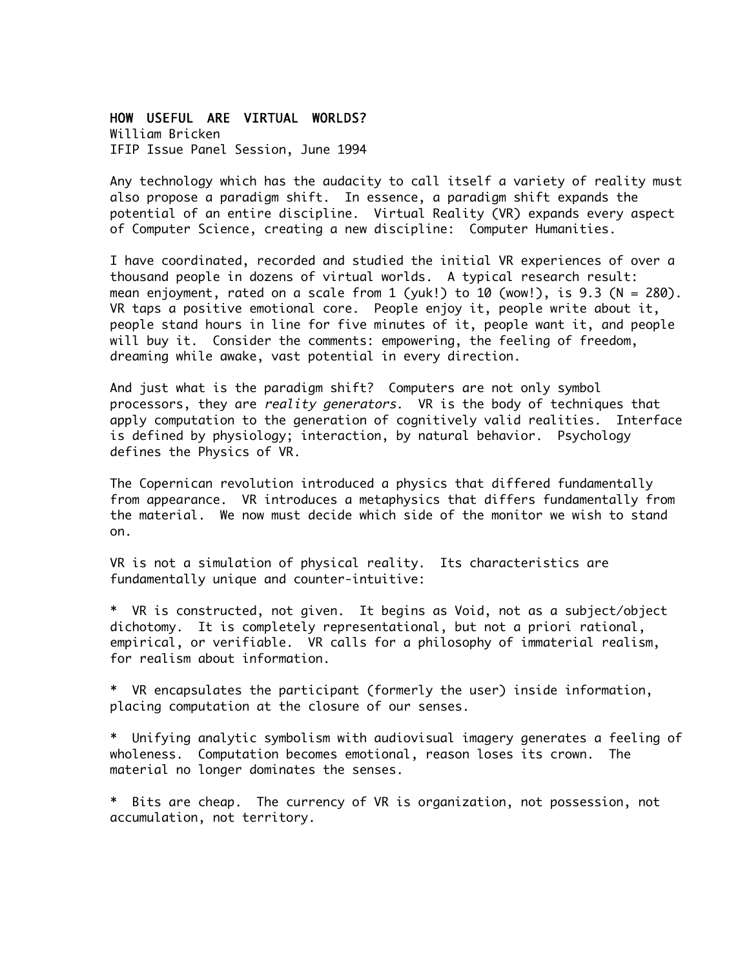## HOW USEFUL ARE VIRTUAL WORLDS?

William Bricken IFIP Issue Panel Session, June 1994

Any technology which has the audacity to call itself a variety of reality must also propose a paradigm shift. In essence, a paradigm shift expands the potential of an entire discipline. Virtual Reality (VR) expands every aspect of Computer Science, creating a new discipline: Computer Humanities.

I have coordinated, recorded and studied the initial VR experiences of over a thousand people in dozens of virtual worlds. A typical research result: mean enjoyment, rated on a scale from 1 (yuk!) to 10 (wow!), is 9.3 (N = 280). VR taps a positive emotional core. People enjoy it, people write about it, people stand hours in line for five minutes of it, people want it, and people will buy it. Consider the comments: empowering, the feeling of freedom, dreaming while awake, vast potential in every direction.

And just what is the paradigm shift? Computers are not only symbol processors, they are reality generators. VR is the body of techniques that apply computation to the generation of cognitively valid realities. Interface is defined by physiology; interaction, by natural behavior. Psychology defines the Physics of VR.

The Copernican revolution introduced a physics that differed fundamentally from appearance. VR introduces a metaphysics that differs fundamentally from the material. We now must decide which side of the monitor we wish to stand on.

VR is not a simulation of physical reality. Its characteristics are fundamentally unique and counter-intuitive:

\* VR is constructed, not given. It begins as Void, not as a subject/object dichotomy. It is completely representational, but not a priori rational, empirical, or verifiable. VR calls for a philosophy of immaterial realism, for realism about information.

\* VR encapsulates the participant (formerly the user) inside information, placing computation at the closure of our senses.

\* Unifying analytic symbolism with audiovisual imagery generates a feeling of wholeness. Computation becomes emotional, reason loses its crown. The material no longer dominates the senses.

\* Bits are cheap. The currency of VR is organization, not possession, not accumulation, not territory.